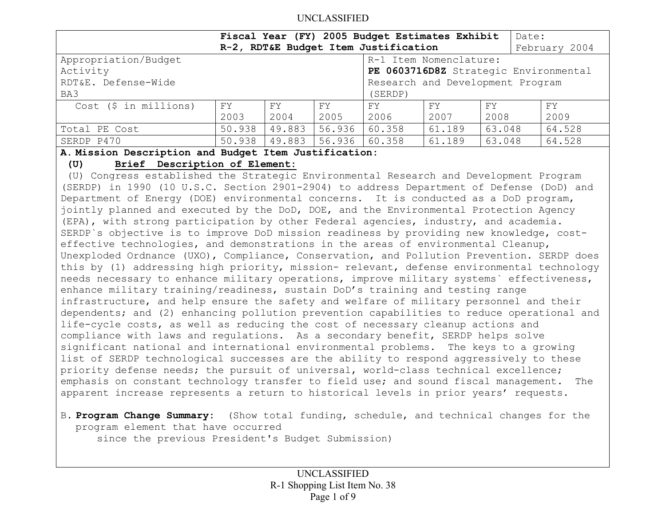|                                                         |                                       |        |        | Fiscal Year (FY) 2005 Budget Estimates Exhibit |        |        | Date:         |
|---------------------------------------------------------|---------------------------------------|--------|--------|------------------------------------------------|--------|--------|---------------|
|                                                         | R-2, RDT&E Budget Item Justification  |        |        |                                                |        |        | February 2004 |
| Appropriation/Budget                                    |                                       |        |        | R-1 Item Nomenclature:                         |        |        |               |
| Activity                                                | PE 0603716D8Z Strategic Environmental |        |        |                                                |        |        |               |
| Research and Development Program<br>RDT&E. Defense-Wide |                                       |        |        |                                                |        |        |               |
| BA3                                                     |                                       |        |        | (SERDP)                                        |        |        |               |
| Cost (\$ in millions)                                   | FY.                                   | FY.    | FY.    | FY.                                            | FY.    | FY     | FY.           |
|                                                         | 2003                                  | 2004   | 2005   | 2006                                           | 2007   | 2008   | 2009          |
| Total PE Cost                                           | 50.938                                | 49.883 | 56.936 | 60.358                                         | 61.189 | 63.048 | 64.528        |
| SERDP P470                                              | 50.938                                | 49.883 | 56.936 | 60.358                                         | 61.189 | 63.048 | 64.528        |

#### **A. Mission Description and Budget Item Justification:**

## **(U) Brief Description of Element:**

 (U) Congress established the Strategic Environmental Research and Development Program (SERDP) in 1990 (10 U.S.C. Section 2901-2904) to address Department of Defense (DoD) and Department of Energy (DOE) environmental concerns. It is conducted as a DoD program, jointly planned and executed by the DoD, DOE, and the Environmental Protection Agency (EPA), with strong participation by other Federal agencies, industry, and academia. SERDP`s objective is to improve DoD mission readiness by providing new knowledge, costeffective technologies, and demonstrations in the areas of environmental Cleanup, Unexploded Ordnance (UXO), Compliance, Conservation, and Pollution Prevention. SERDP does this by (1) addressing high priority, mission- relevant, defense environmental technology needs necessary to enhance military operations, improve military systems` effectiveness, enhance military training/readiness, sustain DoD's training and testing range infrastructure, and help ensure the safety and welfare of military personnel and their dependents; and (2) enhancing pollution prevention capabilities to reduce operational and life-cycle costs, as well as reducing the cost of necessary cleanup actions and compliance with laws and regulations. As a secondary benefit, SERDP helps solve significant national and international environmental problems. The keys to a growing list of SERDP technological successes are the ability to respond aggressively to these priority defense needs; the pursuit of universal, world-class technical excellence; emphasis on constant technology transfer to field use; and sound fiscal management. The apparent increase represents a return to historical levels in prior years' requests.

# B. **Program Change Summary:** (Show total funding, schedule, and technical changes for the program element that have occurred

since the previous President's Budget Submission)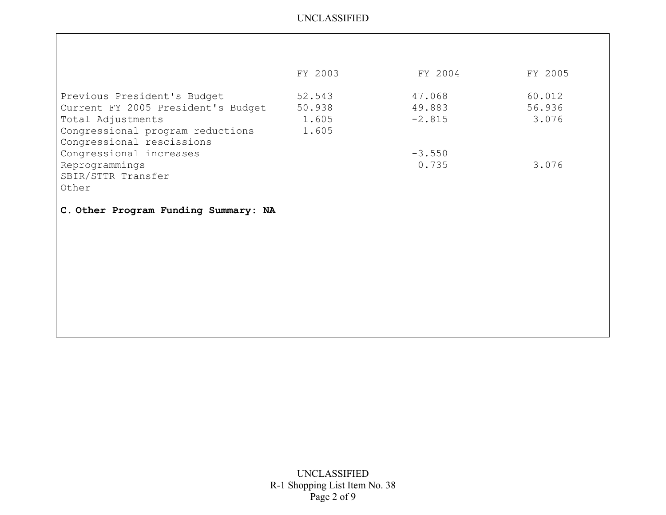|                                    | FY 2003 | FY 2004  | FY 2005 |
|------------------------------------|---------|----------|---------|
| Previous President's Budget        | 52.543  | 47.068   | 60.012  |
| Current FY 2005 President's Budget | 50.938  | 49.883   | 56.936  |
| Total Adjustments                  | 1.605   | $-2.815$ | 3.076   |
| Congressional program reductions   | 1.605   |          |         |
| Congressional rescissions          |         |          |         |
| Congressional increases            |         | $-3.550$ |         |
| Reprogrammings                     |         | 0.735    | 3.076   |
| SBIR/STTR Transfer                 |         |          |         |
| Other                              |         |          |         |

**C. Other Program Funding Summary: NA**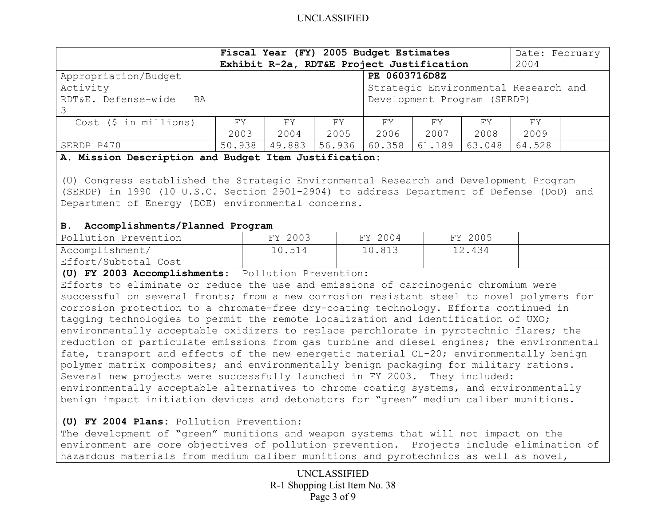| Fiscal Year (FY) 2005 Budget Estimates<br>Exhibit R-2a, RDT&E Project Justification |               |        |         |                             |        | Date: February<br>2004 |        |  |
|-------------------------------------------------------------------------------------|---------------|--------|---------|-----------------------------|--------|------------------------|--------|--|
| Appropriation/Budget                                                                | PE 0603716D8Z |        |         |                             |        |                        |        |  |
| Activity<br>Strategic Environmental Research and                                    |               |        |         |                             |        |                        |        |  |
| RDT&E. Defense-wide<br>BA                                                           |               |        |         | Development Program (SERDP) |        |                        |        |  |
|                                                                                     |               |        |         |                             |        |                        |        |  |
| $Cost$ (\$ in millions)                                                             | FY.           | FY.    | FY      | FY                          | FY.    | FY.                    | FY     |  |
|                                                                                     | 2003          | 2004   | 2005    | 2006                        | 2007   | 2008                   | 2009   |  |
| SERDP P470                                                                          | 50.938        | 49.883 | 156.936 | 60.358                      | 61.189 | 63.048                 | 64.528 |  |

#### **A. Mission Description and Budget Item Justification:**

(U) Congress established the Strategic Environmental Research and Development Program (SERDP) in 1990 (10 U.S.C. Section 2901-2904) to address Department of Defense (DoD) and Department of Energy (DOE) environmental concerns.

#### **B. Accomplishments/Planned Program**

| Pollution Prevention | FY 2003 | FY 2004 | FY 2005 |  |
|----------------------|---------|---------|---------|--|
| Accomplishment/      | 10.514  | 10.813  | 12.434  |  |
| Effort/Subtotal Cost |         |         |         |  |

**(U) FY 2003 Accomplishments:** Pollution Prevention:

Efforts to eliminate or reduce the use and emissions of carcinogenic chromium were successful on several fronts; from a new corrosion resistant steel to novel polymers for corrosion protection to a chromate-free dry-coating technology. Efforts continued in tagging technologies to permit the remote localization and identification of UXO; environmentally acceptable oxidizers to replace perchlorate in pyrotechnic flares; the reduction of particulate emissions from gas turbine and diesel engines; the environmental fate, transport and effects of the new energetic material CL-20; environmentally benign polymer matrix composites; and environmentally benign packaging for military rations. Several new projects were successfully launched in FY 2003. They included: environmentally acceptable alternatives to chrome coating systems, and environmentally benign impact initiation devices and detonators for "green" medium caliber munitions.

#### **(U) FY 2004 Plans:** Pollution Prevention:

The development of "green" munitions and weapon systems that will not impact on the environment are core objectives of pollution prevention. Projects include elimination of hazardous materials from medium caliber munitions and pyrotechnics as well as novel,

> UNCLASSIFIED R-1 Shopping List Item No. 38 Page 3 of 9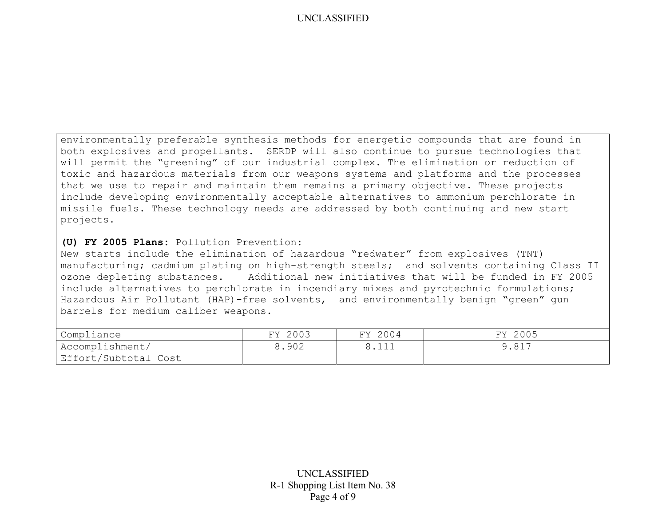environmentally preferable synthesis methods for energetic compounds that are found in both explosives and propellants. SERDP will also continue to pursue technologies that will permit the "greening" of our industrial complex. The elimination or reduction of toxic and hazardous materials from our weapons systems and platforms and the processes that we use to repair and maintain them remains a primary objective. These projects include developing environmentally acceptable alternatives to ammonium perchlorate in missile fuels. These technology needs are addressed by both continuing and new start projects.

#### **(U) FY 2005 Plans:** Pollution Prevention:

New starts include the elimination of hazardous "redwater" from explosives (TNT) manufacturing; cadmium plating on high-strength steels; and solvents containing Class II ozone depleting substances. Additional new initiatives that will be funded in FY 2005 include alternatives to perchlorate in incendiary mixes and pyrotechnic formulations; Hazardous Air Pollutant (HAP)-free solvents, and environmentally benign "green" gun barrels for medium caliber weapons.

| Compliance           | FY 2003 | FY 2004 | FY 2005 |
|----------------------|---------|---------|---------|
| Accomplishment/      | 8.902   |         | 9.817   |
| Effort/Subtotal Cost |         |         |         |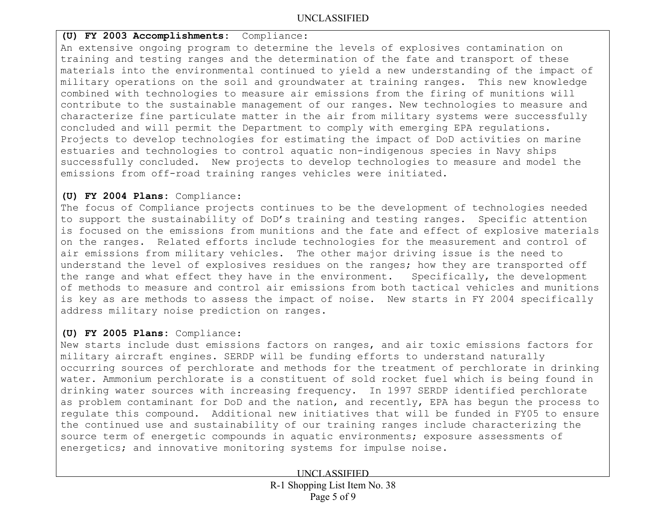## **(U) FY 2003 Accomplishments:** Compliance:

An extensive ongoing program to determine the levels of explosives contamination on training and testing ranges and the determination of the fate and transport of these materials into the environmental continued to yield a new understanding of the impact of military operations on the soil and groundwater at training ranges. This new knowledge combined with technologies to measure air emissions from the firing of munitions will contribute to the sustainable management of our ranges. New technologies to measure and characterize fine particulate matter in the air from military systems were successfully concluded and will permit the Department to comply with emerging EPA regulations. Projects to develop technologies for estimating the impact of DoD activities on marine estuaries and technologies to control aquatic non-indigenous species in Navy ships successfully concluded. New projects to develop technologies to measure and model the emissions from off-road training ranges vehicles were initiated.

### **(U) FY 2004 Plans:** Compliance:

The focus of Compliance projects continues to be the development of technologies needed to support the sustainability of DoD's training and testing ranges. Specific attention is focused on the emissions from munitions and the fate and effect of explosive materials on the ranges. Related efforts include technologies for the measurement and control of air emissions from military vehicles. The other major driving issue is the need to understand the level of explosives residues on the ranges; how they are transported off the range and what effect they have in the environment. Specifically, the development of methods to measure and control air emissions from both tactical vehicles and munitions is key as are methods to assess the impact of noise. New starts in FY 2004 specifically address military noise prediction on ranges.

## **(U) FY 2005 Plans:** Compliance:

New starts include dust emissions factors on ranges, and air toxic emissions factors for military aircraft engines. SERDP will be funding efforts to understand naturally occurring sources of perchlorate and methods for the treatment of perchlorate in drinking water. Ammonium perchlorate is a constituent of sold rocket fuel which is being found in drinking water sources with increasing frequency. In 1997 SERDP identified perchlorate as problem contaminant for DoD and the nation, and recently, EPA has begun the process to regulate this compound. Additional new initiatives that will be funded in FY05 to ensure the continued use and sustainability of our training ranges include characterizing the source term of energetic compounds in aquatic environments; exposure assessments of energetics; and innovative monitoring systems for impulse noise.

UNCLASSIFIED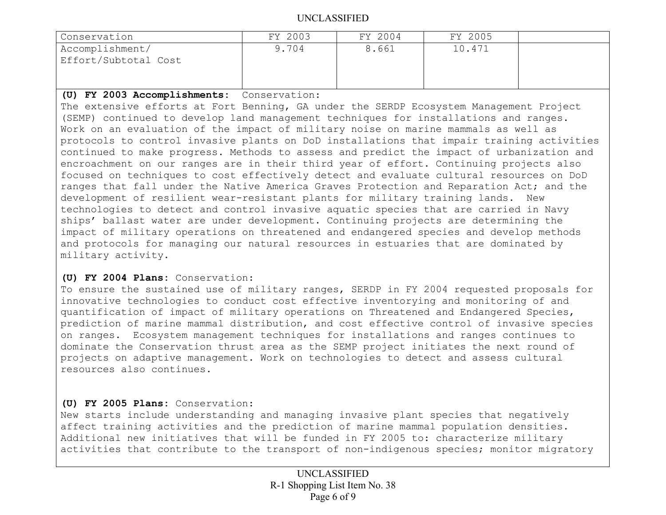| Conservation         | FY 2003 | FY 2004 | FY 2005 |  |
|----------------------|---------|---------|---------|--|
| Accomplishment/      | 9.704   | 8.661   | 10.471  |  |
| Effort/Subtotal Cost |         |         |         |  |
|                      |         |         |         |  |

### **(U) FY 2003 Accomplishments:** Conservation:

The extensive efforts at Fort Benning, GA under the SERDP Ecosystem Management Project (SEMP) continued to develop land management techniques for installations and ranges. Work on an evaluation of the impact of military noise on marine mammals as well as protocols to control invasive plants on DoD installations that impair training activities continued to make progress. Methods to assess and predict the impact of urbanization and encroachment on our ranges are in their third year of effort. Continuing projects also focused on techniques to cost effectively detect and evaluate cultural resources on DoD ranges that fall under the Native America Graves Protection and Reparation Act; and the development of resilient wear-resistant plants for military training lands. New technologies to detect and control invasive aquatic species that are carried in Navy ships' ballast water are under development. Continuing projects are determining the impact of military operations on threatened and endangered species and develop methods and protocols for managing our natural resources in estuaries that are dominated by military activity.

## **(U) FY 2004 Plans:** Conservation:

To ensure the sustained use of military ranges, SERDP in FY 2004 requested proposals for innovative technologies to conduct cost effective inventorying and monitoring of and quantification of impact of military operations on Threatened and Endangered Species, prediction of marine mammal distribution, and cost effective control of invasive species on ranges. Ecosystem management techniques for installations and ranges continues to dominate the Conservation thrust area as the SEMP project initiates the next round of projects on adaptive management. Work on technologies to detect and assess cultural resources also continues.

# **(U) FY 2005 Plans:** Conservation:

New starts include understanding and managing invasive plant species that negatively affect training activities and the prediction of marine mammal population densities. Additional new initiatives that will be funded in FY 2005 to: characterize military activities that contribute to the transport of non-indigenous species; monitor migratory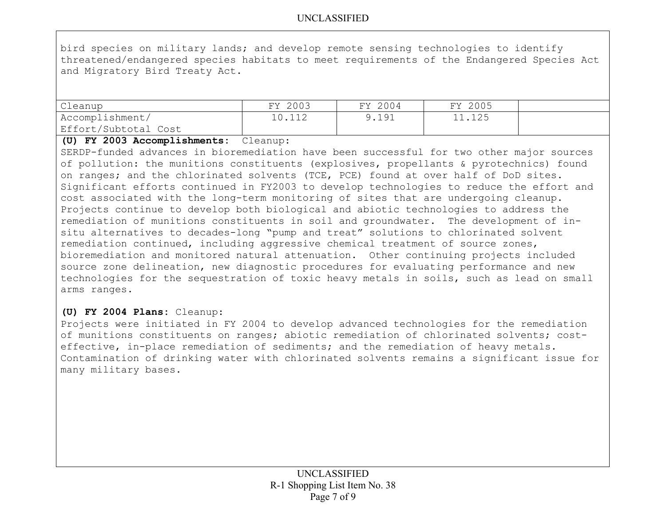bird species on military lands; and develop remote sensing technologies to identify threatened/endangered species habitats to meet requirements of the Endangered Species Act and Migratory Bird Treaty Act.

| Cleanup              | FY 2003 | FY 2004 | FY 2005 |  |
|----------------------|---------|---------|---------|--|
| Accomplishment/      | 10.112  | 9.191   | 11.125  |  |
| Effort/Subtotal Cost |         |         |         |  |

#### **(U) FY 2003 Accomplishments:** Cleanup:

SERDP-funded advances in bioremediation have been successful for two other major sources of pollution: the munitions constituents (explosives, propellants & pyrotechnics) found on ranges; and the chlorinated solvents (TCE, PCE) found at over half of DoD sites. Significant efforts continued in FY2003 to develop technologies to reduce the effort and cost associated with the long-term monitoring of sites that are undergoing cleanup. Projects continue to develop both biological and abiotic technologies to address the remediation of munitions constituents in soil and groundwater. The development of insitu alternatives to decades-long "pump and treat" solutions to chlorinated solvent remediation continued, including aggressive chemical treatment of source zones, bioremediation and monitored natural attenuation. Other continuing projects included source zone delineation, new diagnostic procedures for evaluating performance and new technologies for the sequestration of toxic heavy metals in soils, such as lead on small arms ranges.

# **(U) FY 2004 Plans:** Cleanup:

Projects were initiated in FY 2004 to develop advanced technologies for the remediation of munitions constituents on ranges; abiotic remediation of chlorinated solvents; costeffective, in-place remediation of sediments; and the remediation of heavy metals. Contamination of drinking water with chlorinated solvents remains a significant issue for many military bases.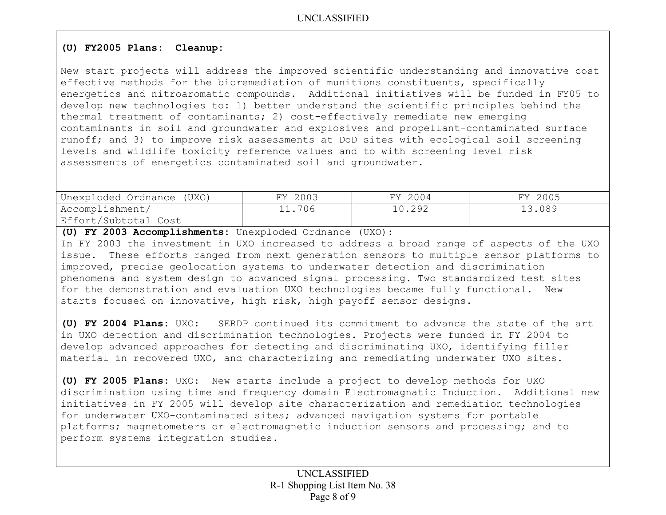# **(U) FY2005 Plans: Cleanup:**

New start projects will address the improved scientific understanding and innovative cost effective methods for the bioremediation of munitions constituents, specifically energetics and nitroaromatic compounds. Additional initiatives will be funded in FY05 to develop new technologies to: 1) better understand the scientific principles behind the thermal treatment of contaminants; 2) cost-effectively remediate new emerging contaminants in soil and groundwater and explosives and propellant-contaminated surface runoff; and 3) to improve risk assessments at DoD sites with ecological soil screening levels and wildlife toxicity reference values and to with screening level risk assessments of energetics contaminated soil and groundwater.

| Unexploded Ordnance (UXO) | FY 2003 | FY 2004 | FY 2005 |
|---------------------------|---------|---------|---------|
| Accomplishment/           | 11.706  | 10.292  | 13.089  |
| Effort/Subtotal Cost      |         |         |         |

**(U) FY 2003 Accomplishments:** Unexploded Ordnance (UXO): In FY 2003 the investment in UXO increased to address a broad range of aspects of the UXO issue. These efforts ranged from next generation sensors to multiple sensor platforms to improved, precise geolocation systems to underwater detection and discrimination phenomena and system design to advanced signal processing. Two standardized test sites for the demonstration and evaluation UXO technologies became fully functional. New

starts focused on innovative, high risk, high payoff sensor designs.

**(U) FY 2004 Plans:** UXO: SERDP continued its commitment to advance the state of the art in UXO detection and discrimination technologies. Projects were funded in FY 2004 to develop advanced approaches for detecting and discriminating UXO, identifying filler material in recovered UXO, and characterizing and remediating underwater UXO sites.

**(U) FY 2005 Plans:** UXO: New starts include a project to develop methods for UXO discrimination using time and frequency domain Electromagnatic Induction. Additional new initiatives in FY 2005 will develop site characterization and remediation technologies for underwater UXO-contaminated sites; advanced navigation systems for portable platforms; magnetometers or electromagnetic induction sensors and processing; and to perform systems integration studies.